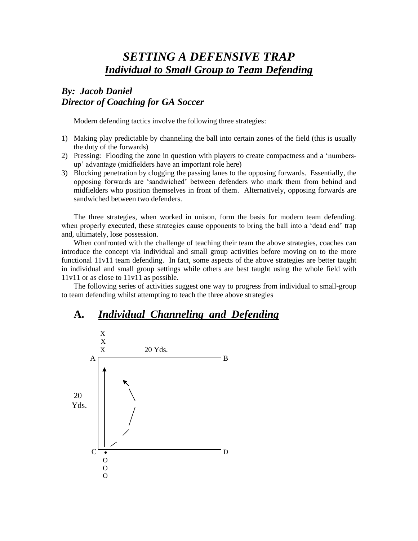# *SETTING A DEFENSIVE TRAP Individual to Small Group to Team Defending*

### *By: Jacob Daniel Director of Coaching for GA Soccer*

Modern defending tactics involve the following three strategies:

- 1) Making play predictable by channeling the ball into certain zones of the field (this is usually the duty of the forwards)
- 2) Pressing: Flooding the zone in question with players to create compactness and a 'numbersup' advantage (midfielders have an important role here)
- 3) Blocking penetration by clogging the passing lanes to the opposing forwards. Essentially, the opposing forwards are 'sandwiched' between defenders who mark them from behind and midfielders who position themselves in front of them. Alternatively, opposing forwards are sandwiched between two defenders.

The three strategies, when worked in unison, form the basis for modern team defending. when properly executed, these strategies cause opponents to bring the ball into a 'dead end' trap and, ultimately, lose possession.

When confronted with the challenge of teaching their team the above strategies, coaches can introduce the concept via individual and small group activities before moving on to the more functional 11v11 team defending. In fact, some aspects of the above strategies are better taught in individual and small group settings while others are best taught using the whole field with 11v11 or as close to 11v11 as possible.

The following series of activities suggest one way to progress from individual to small-group to team defending whilst attempting to teach the three above strategies

### **A.** *Individual Channeling and Defending*

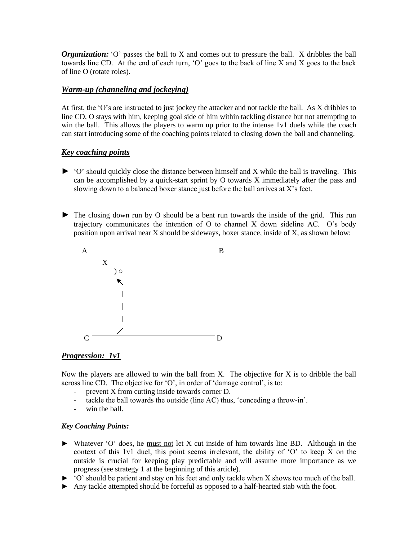*Organization:* "O" passes the ball to X and comes out to pressure the ball. X dribbles the ball towards line CD. At the end of each turn, 'O' goes to the back of line X and X goes to the back of line O (rotate roles).

#### *Warm-up (channeling and jockeying)*

At first, the 'O's are instructed to just jockey the attacker and not tackle the ball. As X dribbles to line CD, O stays with him, keeping goal side of him within tackling distance but not attempting to win the ball. This allows the players to warm up prior to the intense 1v1 duels while the coach can start introducing some of the coaching points related to closing down the ball and channeling.

#### *Key coaching points*

- $\blacktriangleright$  'O' should quickly close the distance between himself and X while the ball is traveling. This can be accomplished by a quick-start sprint by O towards X immediately after the pass and slowing down to a balanced boxer stance just before the ball arrives at  $X$ 's feet.
- ► The closing down run by O should be a bent run towards the inside of the grid. This run trajectory communicates the intention of O to channel X down sideline AC. O's body position upon arrival near X should be sideways, boxer stance, inside of X, as shown below:



#### *Progression: 1v1*

Now the players are allowed to win the ball from X. The objective for X is to dribble the ball across line CD. The objective for 'O', in order of 'damage control', is to:

- prevent X from cutting inside towards corner D.
- tackle the ball towards the outside (line AC) thus, 'conceding a throw-in'.
- win the ball.

#### *Key Coaching Points:*

- ► Whatever 'O' does, he must not let X cut inside of him towards line BD. Although in the context of this 1v1 duel, this point seems irrelevant, the ability of 'O' to keep X on the outside is crucial for keeping play predictable and will assume more importance as we progress (see strategy 1 at the beginning of this article).
- ► 'O' should be patient and stay on his feet and only tackle when X shows too much of the ball.
- ► Any tackle attempted should be forceful as opposed to a half-hearted stab with the foot.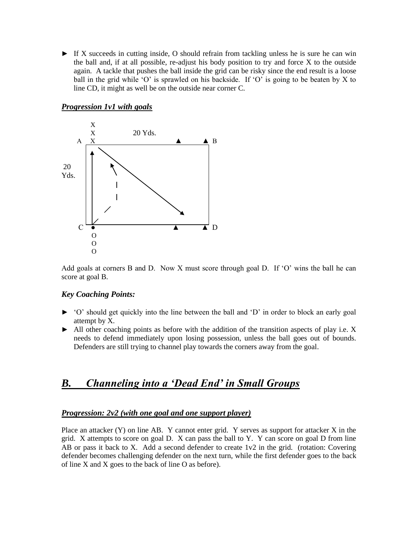► If X succeeds in cutting inside, O should refrain from tackling unless he is sure he can win the ball and, if at all possible, re-adjust his body position to try and force X to the outside again. A tackle that pushes the ball inside the grid can be risky since the end result is a loose ball in the grid while 'O' is sprawled on his backside. If 'O' is going to be beaten by X to line CD, it might as well be on the outside near corner C.

# X  $X = 20$  Yds.  $A \times B$ 20 Yds.  $C \rightarrow \mathbb{A}$   $\mathbb{A}$  D O O O ļ

#### *Progression 1v1 with goals*

Add goals at corners B and D. Now X must score through goal D. If 'O' wins the ball he can score at goal B.

#### *Key Coaching Points:*

- *►* 'O' should get quickly into the line between the ball and 'D' in order to block an early goal attempt by X.
- $\blacktriangleright$  All other coaching points as before with the addition of the transition aspects of play i.e. X needs to defend immediately upon losing possession, unless the ball goes out of bounds. Defenders are still trying to channel play towards the corners away from the goal.

### *B. Channeling into a 'Dead End' in Small Groups*

#### *Progression: 2v2 (with one goal and one support player)*

Place an attacker  $(Y)$  on line AB. Y cannot enter grid. Y serves as support for attacker  $X$  in the grid. X attempts to score on goal  $D$ . X can pass the ball to Y. Y can score on goal  $D$  from line AB or pass it back to X. Add a second defender to create 1v2 in the grid. (rotation: Covering defender becomes challenging defender on the next turn, while the first defender goes to the back of line X and X goes to the back of line O as before).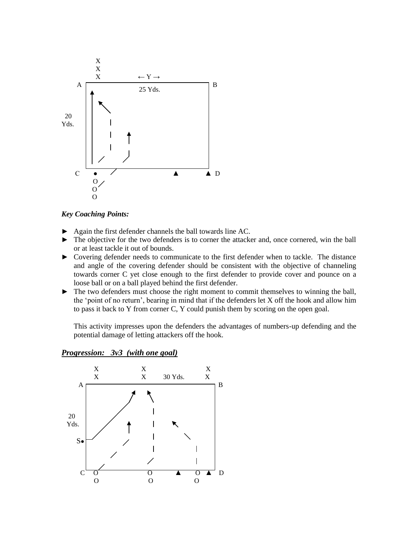

*Key Coaching Points:*

- ► Again the first defender channels the ball towards line AC.
- ► The objective for the two defenders is to corner the attacker and, once cornered, win the ball or at least tackle it out of bounds.
- ► Covering defender needs to communicate to the first defender when to tackle. The distance and angle of the covering defender should be consistent with the objective of channeling towards corner C yet close enough to the first defender to provide cover and pounce on a loose ball or on a ball played behind the first defender.
- ► The two defenders must choose the right moment to commit themselves to winning the ball, the 'point of no return', bearing in mind that if the defenders let X off the hook and allow him to pass it back to Y from corner C, Y could punish them by scoring on the open goal.

This activity impresses upon the defenders the advantages of numbers-up defending and the potential damage of letting attackers off the hook.



#### *Progression: 3v3 (with one goal)*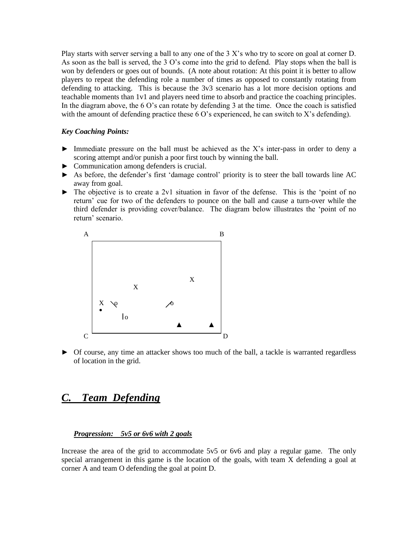Play starts with server serving a ball to any one of the 3 X's who try to score on goal at corner D. As soon as the ball is served, the 3 O's come into the grid to defend. Play stops when the ball is won by defenders or goes out of bounds. (A note about rotation: At this point it is better to allow players to repeat the defending role a number of times as opposed to constantly rotating from defending to attacking. This is because the 3v3 scenario has a lot more decision options and teachable moments than 1v1 and players need time to absorb and practice the coaching principles. In the diagram above, the 6 O's can rotate by defending 3 at the time. Once the coach is satisfied with the amount of defending practice these  $6 \text{ O}'s$  experienced, he can switch to X's defending).

#### *Key Coaching Points:*

- $\blacktriangleright$  Immediate pressure on the ball must be achieved as the X's inter-pass in order to deny a scoring attempt and/or punish a poor first touch by winning the ball.
- ► Communication among defenders is crucial.
- ► As before, the defender's first 'damage control' priority is to steer the ball towards line AC away from goal.
- ► The objective is to create a 2v1 situation in favor of the defense. This is the 'point of no return' cue for two of the defenders to pounce on the ball and cause a turn-over while the third defender is providing cover/balance. The diagram below illustrates the 'point of no return' scenario.



► Of course, any time an attacker shows too much of the ball, a tackle is warranted regardless of location in the grid.

## **Team Defending**

#### *Progression: 5v5 or 6v6 with 2 goals*

Increase the area of the grid to accommodate 5v5 or 6v6 and play a regular game. The only special arrangement in this game is the location of the goals, with team X defending a goal at corner A and team O defending the goal at point D.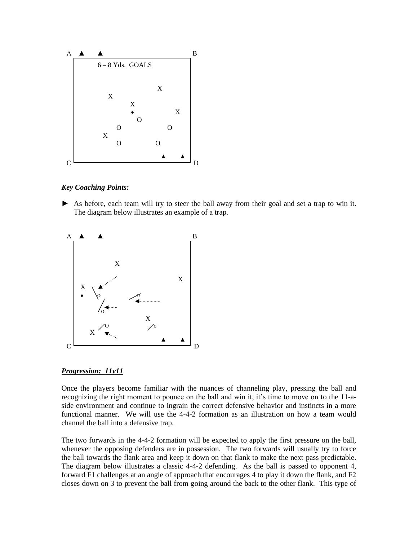

*Key Coaching Points:*

► As before, each team will try to steer the ball away from their goal and set a trap to win it. The diagram below illustrates an example of a trap.



#### *Progression: 11v11*

Once the players become familiar with the nuances of channeling play, pressing the ball and recognizing the right moment to pounce on the ball and win it, it's time to move on to the 11-aside environment and continue to ingrain the correct defensive behavior and instincts in a more functional manner. We will use the 4-4-2 formation as an illustration on how a team would channel the ball into a defensive trap.

The two forwards in the 4-4-2 formation will be expected to apply the first pressure on the ball, whenever the opposing defenders are in possession. The two forwards will usually try to force the ball towards the flank area and keep it down on that flank to make the next pass predictable. The diagram below illustrates a classic 4-4-2 defending. As the ball is passed to opponent 4, forward F1 challenges at an angle of approach that encourages 4 to play it down the flank, and F2 closes down on 3 to prevent the ball from going around the back to the other flank. This type of